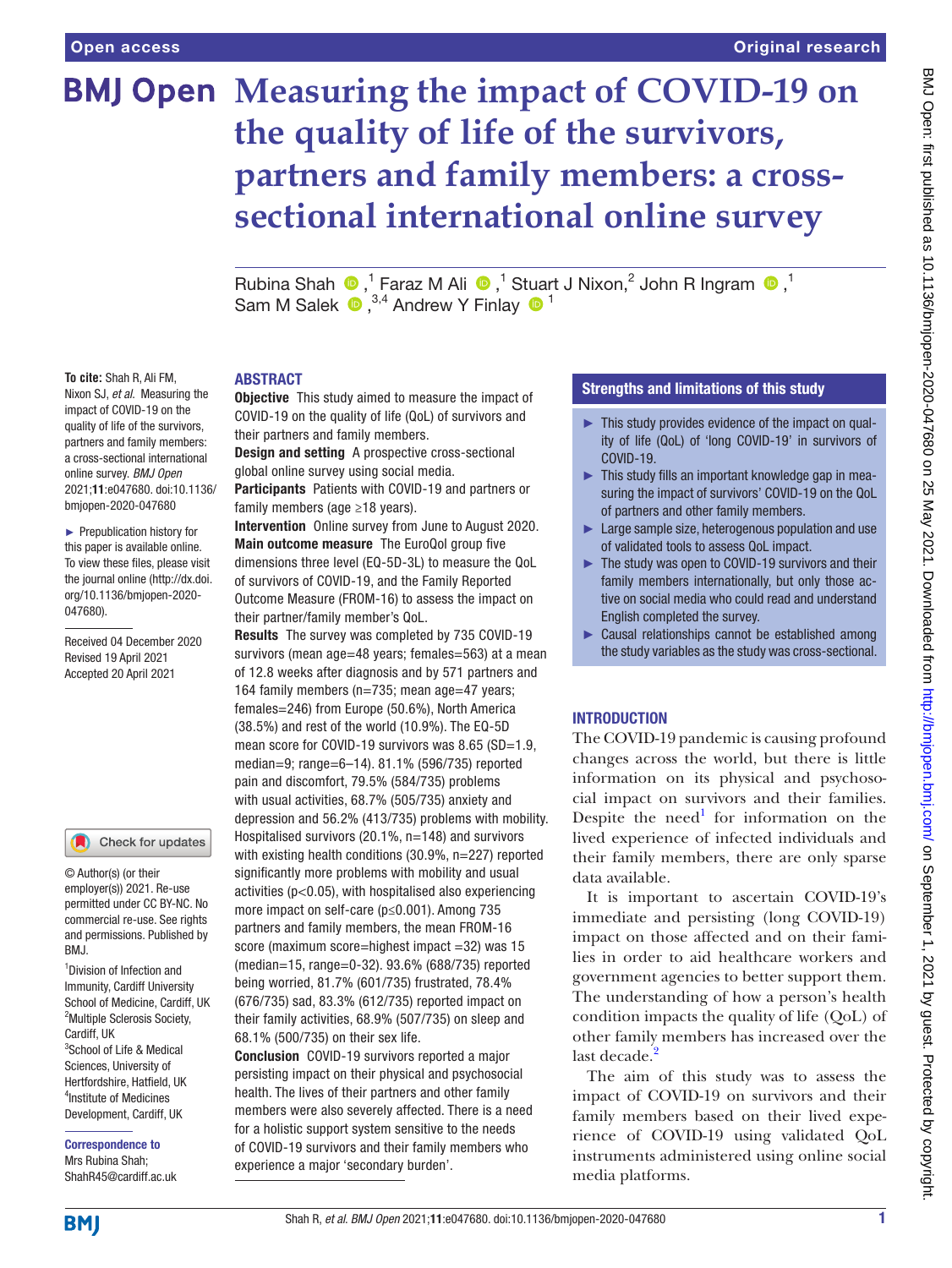# **BMJ Open Measuring the impact of COVID-19 on the quality of life of the survivors, partners and family members: a crosssectional international online survey**

RubinaShah  $\bigcirc$ ,<sup>1</sup> Faraz M Ali  $\bigcirc$ ,<sup>1</sup> Stuart J Nixon,<sup>2</sup> John R Ingram  $\bigcirc$ ,<sup>1</sup> SamM Salek  $\bullet$ ,<sup>3,4</sup> Andrew Y Finlay  $\bullet$ <sup>1</sup>

#### ABSTRACT

**To cite:** Shah R, Ali FM, Nixon SJ, *et al*. Measuring the impact of COVID-19 on the quality of life of the survivors, partners and family members: a cross-sectional international online survey. *BMJ Open* 2021;11:e047680. doi:10.1136/ bmjopen-2020-047680

► Prepublication history for this paper is available online. To view these files, please visit the journal online (http://dx.doi. org/10.1136/bmjopen-2020- 047680).

Received 04 December 2020 Revised 19 April 2021 Accepted 20 April 2021



# Check for updates

© Author(s) (or their employer(s)) 2021. Re-use permitted under CC BY-NC. No commercial re-use. See rights and permissions. Published by RM<sub>J</sub>

1 Division of Infection and Immunity, Cardiff University School of Medicine, Cardiff, UK <sup>2</sup>Multiple Sclerosis Society, Cardiff, UK 3 School of Life & Medical Sciences, University of Hertfordshire, Hatfield, UK 4 Institute of Medicines Development, Cardiff, UK

Correspondence to Mrs Rubina Shah; ShahR45@cardiff.ac.uk **Objective** This study aimed to measure the impact of COVID-19 on the quality of life (QoL) of survivors and their partners and family members.

**Design and setting A prospective cross-sectional** global online survey using social media.

Participants Patients with COVID-19 and partners or family members (age ≥18 years).

Intervention Online survey from June to August 2020. Main outcome measure The EuroQol group five dimensions three level (EQ-5D-3L) to measure the QoL of survivors of COVID-19, and the Family Reported Outcome Measure (FROM-16) to assess the impact on their partner/family member's QoL.

Results The survey was completed by 735 COVID-19 survivors (mean age=48 years; females=563) at a mean of 12.8 weeks after diagnosis and by 571 partners and 164 family members (n=735; mean age=47 years; females=246) from Europe (50.6%), North America (38.5%) and rest of the world (10.9%). The EQ-5D mean score for COVID-19 survivors was 8.65 (SD=1.9, median=9; range=6–14). 81.1% (596/735) reported pain and discomfort, 79.5% (584/735) problems with usual activities, 68.7% (505/735) anxiety and depression and 56.2% (413/735) problems with mobility. Hospitalised survivors (20.1%, n=148) and survivors with existing health conditions (30.9%, n=227) reported significantly more problems with mobility and usual activities (p<0.05), with hospitalised also experiencing more impact on self-care (p≤0.001). Among 735 partners and family members, the mean FROM-16 score (maximum score=highest impact =32) was 15 (median=15, range=0-32). 93.6% (688/735) reported being worried, 81.7% (601/735) frustrated, 78.4% (676/735) sad, 83.3% (612/735) reported impact on their family activities, 68.9% (507/735) on sleep and 68.1% (500/735) on their sex life.

Conclusion COVID-19 survivors reported a major persisting impact on their physical and psychosocial health. The lives of their partners and other family members were also severely affected. There is a need for a holistic support system sensitive to the needs of COVID-19 survivors and their family members who experience a major 'secondary burden'.

# Strengths and limitations of this study

- ► This study provides evidence of the impact on quality of life (QoL) of 'long COVID-19' in survivors of COVID-19.
- ► This study fills an important knowledge gap in measuring the impact of survivors' COVID-19 on the QoL of partners and other family members.
- ► Large sample size, heterogenous population and use of validated tools to assess QoL impact.
- ► The study was open to COVID-19 survivors and their family members internationally, but only those active on social media who could read and understand English completed the survey.
- ► Causal relationships cannot be established among the study variables as the study was cross-sectional.

# **INTRODUCTION**

The COVID-19 pandemic is causing profound changes across the world, but there is little information on its physical and psychosocial impact on survivors and their families. Despite the need<sup>1</sup> for information on the lived experience of infected individuals and their family members, there are only sparse data available.

It is important to ascertain COVID-19's immediate and persisting (long COVID-19) impact on those affected and on their families in order to aid healthcare workers and government agencies to better support them. The understanding of how a person's health condition impacts the quality of life (QoL) of other family members has increased over the last decade.<sup>[2](#page-11-1)</sup>

The aim of this study was to assess the impact of COVID-19 on survivors and their family members based on their lived experience of COVID-19 using validated QoL instruments administered using online social media platforms.

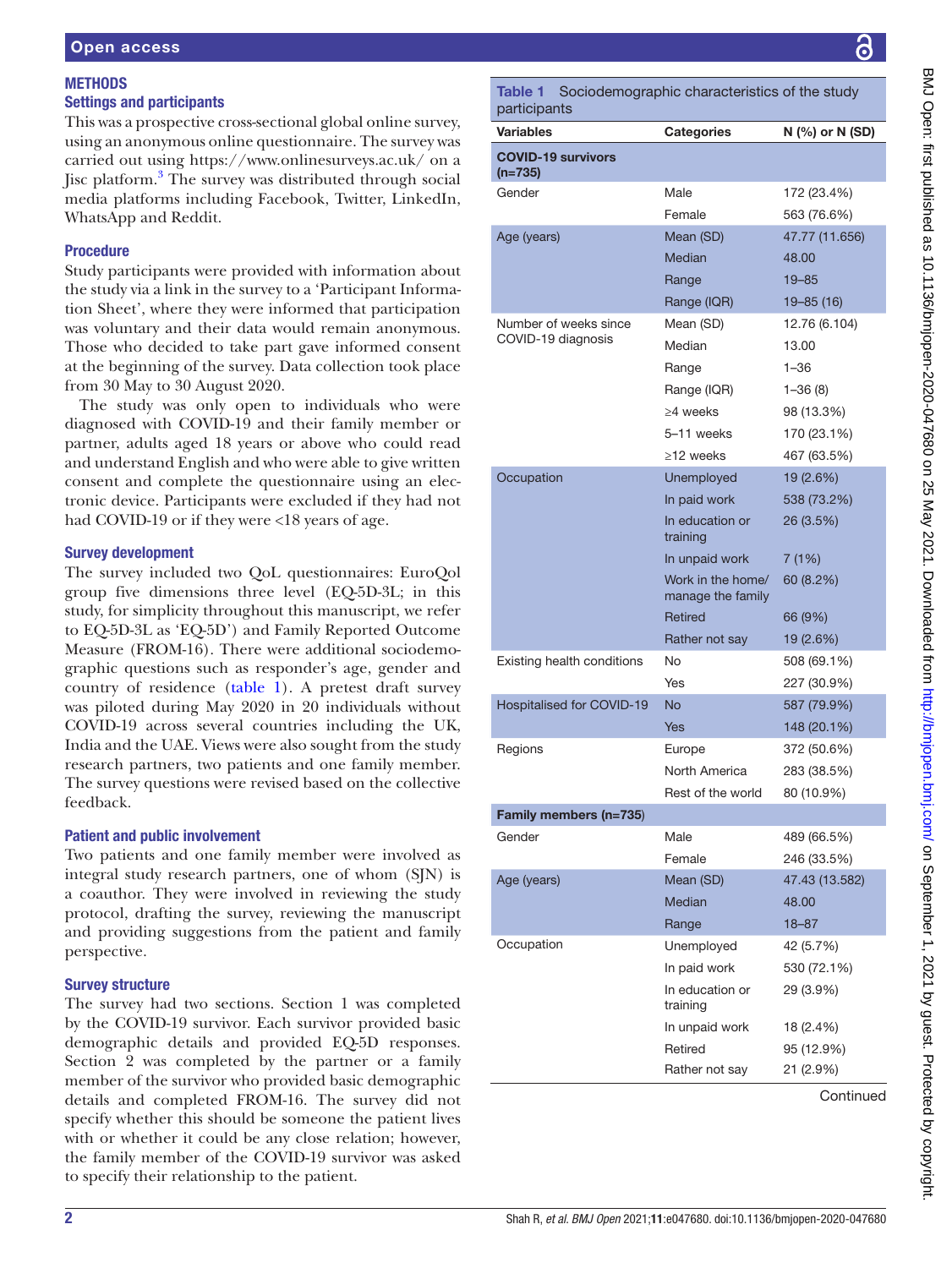# **METHODS** Settings and participants

This was a prospective cross-sectional global online survey, using an anonymous online questionnaire. The survey was carried out using <https://www.onlinesurveys.ac.uk/>on a Jisc platform.<sup>[3](#page-11-2)</sup> The survey was distributed through social media platforms including Facebook, Twitter, LinkedIn, WhatsApp and Reddit.

 $p_i$ 

 $(n$ 

# Procedure

Study participants were provided with information about the study via a link in the survey to a 'Participant Information Sheet', where they were informed that participation was voluntary and their data would remain anonymous. Those who decided to take part gave informed consent at the beginning of the survey. Data collection took place from 30 May to 30 August 2020.

The study was only open to individuals who were diagnosed with COVID-19 and their family member or partner, adults aged 18 years or above who could read and understand English and who were able to give written consent and complete the questionnaire using an electronic device. Participants were excluded if they had not had COVID-19 or if they were <18 years of age.

# Survey development

The survey included two QoL questionnaires: EuroQol group five dimensions three level (EQ-5D-3L; in this study, for simplicity throughout this manuscript, we refer to EQ-5D-3L as 'EQ-5D') and Family Reported Outcome Measure (FROM-16). There were additional sociodemographic questions such as responder's age, gender and country of residence ([table](#page-1-0) 1). A pretest draft survey was piloted during May 2020 in 20 individuals without COVID-19 across several countries including the UK, India and the UAE. Views were also sought from the study research partners, two patients and one family member. The survey questions were revised based on the collective feedback.

# Patient and public involvement

Two patients and one family member were involved as integral study research partners, one of whom (SJN) is a coauthor. They were involved in reviewing the study protocol, drafting the survey, reviewing the manuscript and providing suggestions from the patient and family perspective.

# Survey structure

The survey had two sections. Section 1 was completed by the COVID-19 survivor. Each survivor provided basic demographic details and provided EQ-5D responses. Section 2 was completed by the partner or a family member of the survivor who provided basic demographic details and completed FROM-16. The survey did not specify whether this should be someone the patient lives with or whether it could be any close relation; however, the family member of the COVID-19 survivor was asked to specify their relationship to the patient.

<span id="page-1-0"></span>

| Table 1<br>participants                | Sociodemographic characteristics of the study |                 |
|----------------------------------------|-----------------------------------------------|-----------------|
| <b>Variables</b>                       | <b>Categories</b>                             | N (%) or N (SD) |
| <b>COVID-19 survivors</b><br>$(n=735)$ |                                               |                 |
| Gender                                 | Male                                          | 172 (23.4%)     |
|                                        | Female                                        | 563 (76.6%)     |
| Age (years)                            | Mean (SD)                                     | 47.77 (11.656)  |
|                                        | Median                                        | 48.00           |
|                                        | Range                                         | $19 - 85$       |
|                                        | Range (IQR)                                   | $19 - 85(16)$   |
| Number of weeks since                  | Mean (SD)                                     | 12.76 (6.104)   |
| COVID-19 diagnosis                     | Median                                        | 13.00           |
|                                        | Range                                         | $1 - 36$        |
|                                        | Range (IQR)                                   | $1 - 36(8)$     |
|                                        | $>4$ weeks                                    | 98 (13.3%)      |
|                                        | 5-11 weeks                                    | 170 (23.1%)     |
|                                        | $\geq$ 12 weeks                               | 467 (63.5%)     |
| Occupation                             | Unemployed                                    | 19 (2.6%)       |
|                                        | In paid work                                  | 538 (73.2%)     |
|                                        | In education or<br>training                   | 26 (3.5%)       |
|                                        | In unpaid work                                | 7(1%)           |
|                                        | Work in the home/<br>manage the family        | 60 (8.2%)       |
|                                        | Retired                                       | 66 (9%)         |
|                                        | Rather not say                                | 19 (2.6%)       |
| Existing health conditions             | No                                            | 508 (69.1%)     |
|                                        | Yes                                           | 227 (30.9%)     |
| <b>Hospitalised for COVID-19</b>       | <b>No</b>                                     | 587 (79.9%)     |
|                                        | Yes                                           | 148 (20.1%)     |
| Regions                                | Europe                                        | 372 (50.6%)     |
|                                        | North America                                 | 283 (38.5%)     |
|                                        | Rest of the world                             | 80 (10.9%)      |
| Family members (n=735)                 |                                               |                 |
| Gender                                 | Male                                          | 489 (66.5%)     |
|                                        | Female                                        | 246 (33.5%)     |
| Age (years)                            | Mean (SD)                                     | 47.43 (13.582)  |
|                                        | Median                                        | 48.00           |
|                                        | Range                                         | 18-87           |
| Occupation                             | Unemployed                                    | 42 (5.7%)       |
|                                        | In paid work                                  | 530 (72.1%)     |
|                                        | In education or<br>training                   | 29 (3.9%)       |
|                                        | In unpaid work                                | 18 (2.4%)       |
|                                        | Retired                                       | 95 (12.9%)      |
|                                        | Rather not say                                | 21 (2.9%)       |
|                                        |                                               |                 |

**Continued**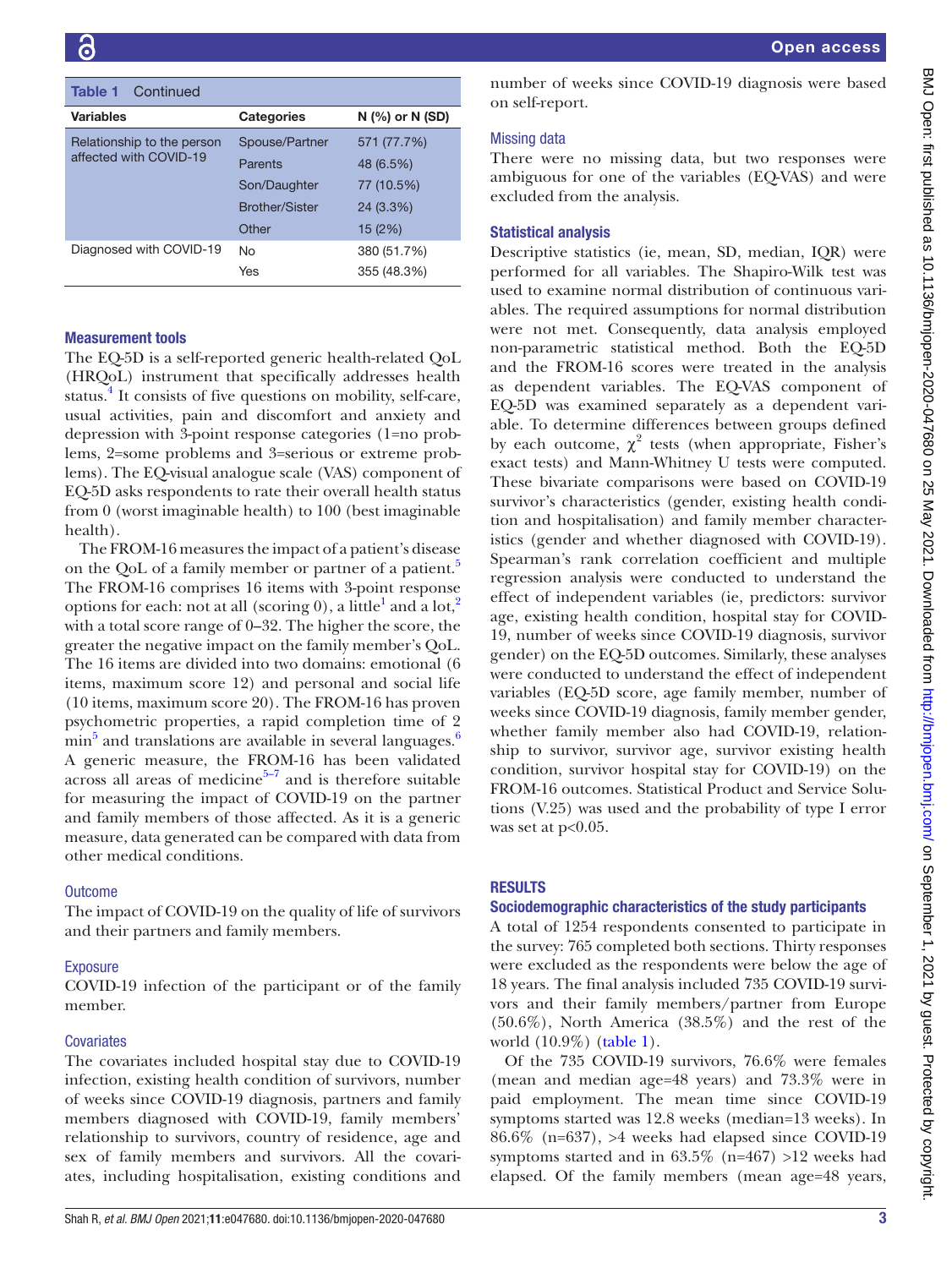| Continued<br>Table 1       |                       |                   |
|----------------------------|-----------------------|-------------------|
| Variables                  | <b>Categories</b>     | $N$ (%) or N (SD) |
| Relationship to the person | Spouse/Partner        | 571 (77.7%)       |
| affected with COVID-19     | Parents               | 48 (6.5%)         |
|                            | Son/Daughter          | 77 (10.5%)        |
|                            | <b>Brother/Sister</b> | 24 (3.3%)         |
|                            | Other                 | 15(2%)            |
| Diagnosed with COVID-19    | No                    | 380 (51.7%)       |
|                            | Yes                   | 355 (48.3%)       |

#### Measurement tools

The EQ-5D is a self-reported generic health-related QoL (HRQoL) instrument that specifically addresses health status.<sup>[4](#page-11-3)</sup> It consists of five questions on mobility, self-care, usual activities, pain and discomfort and anxiety and depression with 3-point response categories (1=no problems, 2=some problems and 3=serious or extreme problems). The EQ-visual analogue scale (VAS) component of EQ-5D asks respondents to rate their overall health status from 0 (worst imaginable health) to 100 (best imaginable health).

The FROM-16 measures the impact of a patient's disease on the QoL of a family member or partner of a patient.<sup>[5](#page-11-4)</sup> The FROM-16 comprises 16 items with 3-point response options for each: not at all (scoring 0), a little<sup>1</sup> and a lot,<sup>[2](#page-11-1)</sup> with a total score range of 0–32. The higher the score, the greater the negative impact on the family member's QoL. The 16 items are divided into two domains: emotional (6 items, maximum score 12) and personal and social life (10 items, maximum score 20). The FROM-16 has proven psychometric properties, a rapid completion time of 2  $\min^5$  $\min^5$  and translations are available in several languages.<sup>[6](#page-11-5)</sup> A generic measure, the FROM-16 has been validated across all areas of medicine $5\frac{5}{7}$  and is therefore suitable for measuring the impact of COVID-19 on the partner and family members of those affected. As it is a generic measure, data generated can be compared with data from other medical conditions.

#### **Outcome**

The impact of COVID-19 on the quality of life of survivors and their partners and family members.

#### Exposure

COVID-19 infection of the participant or of the family member.

#### **Covariates**

The covariates included hospital stay due to COVID-19 infection, existing health condition of survivors, number of weeks since COVID-19 diagnosis, partners and family members diagnosed with COVID-19, family members' relationship to survivors, country of residence, age and sex of family members and survivors. All the covariates, including hospitalisation, existing conditions and

number of weeks since COVID-19 diagnosis were based on self-report.

#### Missing data

There were no missing data, but two responses were ambiguous for one of the variables (EQ-VAS) and were excluded from the analysis.

#### Statistical analysis

Descriptive statistics (ie, mean, SD, median, IQR) were performed for all variables. The Shapiro-Wilk test was used to examine normal distribution of continuous variables. The required assumptions for normal distribution were not met. Consequently, data analysis employed non-parametric statistical method. Both the EQ-5D and the FROM-16 scores were treated in the analysis as dependent variables. The EQ-VAS component of EQ-5D was examined separately as a dependent variable. To determine differences between groups defined by each outcome,  $\chi^2$  tests (when appropriate, Fisher's exact tests) and Mann-Whitney U tests were computed. These bivariate comparisons were based on COVID-19 survivor's characteristics (gender, existing health condition and hospitalisation) and family member characteristics (gender and whether diagnosed with COVID-19). Spearman's rank correlation coefficient and multiple regression analysis were conducted to understand the effect of independent variables (ie, predictors: survivor age, existing health condition, hospital stay for COVID-19, number of weeks since COVID-19 diagnosis, survivor gender) on the EQ-5D outcomes. Similarly, these analyses were conducted to understand the effect of independent variables (EQ-5D score, age family member, number of weeks since COVID-19 diagnosis, family member gender, whether family member also had COVID-19, relationship to survivor, survivor age, survivor existing health condition, survivor hospital stay for COVID-19) on the FROM-16 outcomes. Statistical Product and Service Solutions (V.25) was used and the probability of type I error was set at  $p<0.05$ .

# RESULTS

#### Sociodemographic characteristics of the study participants

A total of 1254 respondents consented to participate in the survey: 765 completed both sections. Thirty responses were excluded as the respondents were below the age of 18 years. The final analysis included 735 COVID-19 survivors and their family members/partner from Europe (50.6%), North America (38.5%) and the rest of the world (10.9%) [\(table](#page-1-0) 1).

Of the 735 COVID-19 survivors, 76.6% were females (mean and median age=48 years) and 73.3% were in paid employment. The mean time since COVID-19 symptoms started was 12.8 weeks (median=13 weeks). In 86.6% (n=637), >4 weeks had elapsed since COVID-19 symptoms started and in 63.5% (n=467) >12 weeks had elapsed. Of the family members (mean age=48 years,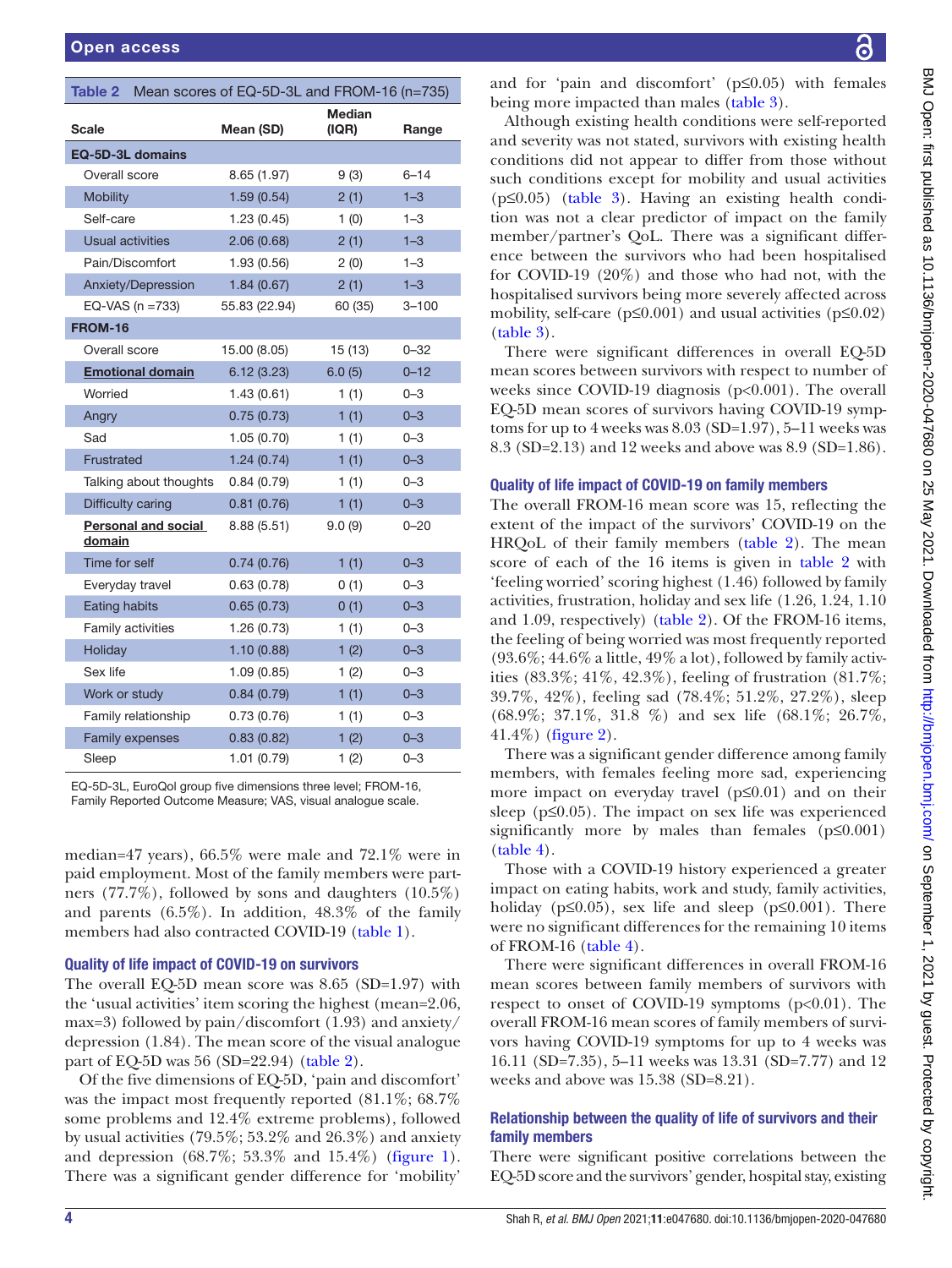<span id="page-3-0"></span>

|                         |                            |               | Table 2 Mean scores of EQ-5D-3L and FROM-16 (n=735) |           |
|-------------------------|----------------------------|---------------|-----------------------------------------------------|-----------|
| <b>Scale</b>            |                            | Mean (SD)     | <b>Median</b><br>(IQR)                              | Range     |
| EQ-5D-3L domains        |                            |               |                                                     |           |
| Overall score           |                            | 8.65 (1.97)   | 9(3)                                                | $6 - 14$  |
| <b>Mobility</b>         |                            | 1.59(0.54)    | 2(1)                                                | $1 - 3$   |
| Self-care               |                            | 1.23(0.45)    | 1(0)                                                | $1 - 3$   |
| <b>Usual activities</b> |                            | 2.06(0.68)    | 2(1)                                                | $1 - 3$   |
| Pain/Discomfort         |                            | 1.93(0.56)    | 2(0)                                                | $1 - 3$   |
|                         | Anxiety/Depression         | 1.84(0.67)    | 2(1)                                                | $1 - 3$   |
|                         | EQ-VAS ( $n = 733$ )       | 55.83 (22.94) | 60 (35)                                             | $3 - 100$ |
| <b>FROM-16</b>          |                            |               |                                                     |           |
| Overall score           |                            | 15.00 (8.05)  | 15(13)                                              | $0 - 32$  |
|                         | <b>Emotional domain</b>    | 6.12(3.23)    | 6.0(5)                                              | $0 - 12$  |
| Worried                 |                            | 1.43(0.61)    | 1(1)                                                | $0 - 3$   |
| Angry                   |                            | 0.75(0.73)    | 1(1)                                                | $0 - 3$   |
| Sad                     |                            | 1.05(0.70)    | 1(1)                                                | $0 - 3$   |
| Frustrated              |                            | 1.24(0.74)    | 1(1)                                                | $0 - 3$   |
|                         | Talking about thoughts     | 0.84(0.79)    | 1(1)                                                | $0 - 3$   |
| Difficulty caring       |                            | 0.81(0.76)    | 1(1)                                                | $0 - 3$   |
| domain                  | <b>Personal and social</b> | 8.88 (5.51)   | 9.0(9)                                              | $0 - 20$  |
| Time for self           |                            | 0.74(0.76)    | 1(1)                                                | $0 - 3$   |
| Everyday travel         |                            | 0.63(0.78)    | 0(1)                                                | $0 - 3$   |
| Eating habits           |                            | 0.65(0.73)    | 0(1)                                                | $0 - 3$   |
| Family activities       |                            | 1.26(0.73)    | 1(1)                                                | $0 - 3$   |
| Holiday                 |                            | 1.10(0.88)    | 1(2)                                                | $0 - 3$   |
| Sex life                |                            | 1.09(0.85)    | 1(2)                                                | $0 - 3$   |
| Work or study           |                            | 0.84(0.79)    | 1(1)                                                | $0 - 3$   |
|                         | Family relationship        | 0.73(0.76)    | 1(1)                                                | $0 - 3$   |
| <b>Family expenses</b>  |                            | 0.83(0.82)    | 1(2)                                                | $0 - 3$   |
| Sleep                   |                            | 1.01(0.79)    | 1(2)                                                | $0 - 3$   |

EQ-5D-3L, EuroQol group five dimensions three level; FROM-16, Family Reported Outcome Measure; VAS, visual analogue scale.

median=47 years), 66.5% were male and 72.1% were in paid employment. Most of the family members were partners (77.7%), followed by sons and daughters (10.5%) and parents (6.5%). In addition, 48.3% of the family members had also contracted COVID-19 ([table](#page-1-0) 1).

#### Quality of life impact of COVID-19 on survivors

The overall EQ-5D mean score was 8.65 (SD=1.97) with the 'usual activities' item scoring the highest (mean=2.06, max=3) followed by pain/discomfort (1.93) and anxiety/ depression (1.84). The mean score of the visual analogue part of EQ-5D was 56 (SD=22.94) [\(table](#page-3-0) 2).

Of the five dimensions of EQ-5D, 'pain and discomfort' was the impact most frequently reported  $(81.1\%; 68.7\%)$ some problems and 12.4% extreme problems), followed by usual activities (79.5%; 53.2% and 26.3%) and anxiety and depression (68.7%; 53.3% and 15.4%) ([figure](#page-4-0) 1). There was a significant gender difference for 'mobility'

and for 'pain and discomfort' (p≤0.05) with females being more impacted than males [\(table](#page-4-1) 3).

Although existing health conditions were self-reported and severity was not stated, survivors with existing health conditions did not appear to differ from those without such conditions except for mobility and usual activities (p≤0.05) [\(table](#page-4-1) 3). Having an existing health condition was not a clear predictor of impact on the family member/partner's QoL. There was a significant difference between the survivors who had been hospitalised for COVID-19 (20%) and those who had not, with the hospitalised survivors being more severely affected across mobility, self-care ( $p \le 0.001$ ) and usual activities ( $p \le 0.02$ ) [\(table](#page-4-1) 3).

There were significant differences in overall EQ-5D mean scores between survivors with respect to number of weeks since COVID-19 diagnosis (p<0.001). The overall EQ-5D mean scores of survivors having COVID-19 symptoms for up to  $4$  weeks was  $8.03$  (SD=1.97), 5–11 weeks was 8.3 (SD=2.13) and 12 weeks and above was 8.9 (SD=1.86).

#### Quality of life impact of COVID-19 on family members

The overall FROM-16 mean score was 15, reflecting the extent of the impact of the survivors' COVID-19 on the HRQoL of their family members [\(table](#page-3-0) 2). The mean score of each of the 16 items is given in [table](#page-3-0) 2 with 'feeling worried' scoring highest (1.46) followed by family activities, frustration, holiday and sex life (1.26, 1.24, 1.10 and 1.09, respectively) ([table](#page-3-0) 2). Of the FROM-16 items, the feeling of being worried was most frequently reported  $(93.6\%; 44.6\%$  a little,  $49\%$  a lot), followed by family activities (83.3%; 41%, 42.3%), feeling of frustration (81.7%; 39.7%, 42%), feeling sad (78.4%; 51.2%, 27.2%), sleep (68.9%; 37.1%, 31.8 %) and sex life (68.1%; 26.7%, 41.4%) [\(figure](#page-5-0) 2).

There was a significant gender difference among family members, with females feeling more sad, experiencing more impact on everyday travel  $(p \le 0.01)$  and on their sleep ( $p \leq 0.05$ ). The impact on sex life was experienced significantly more by males than females  $(p \le 0.001)$ [\(table](#page-5-1) 4).

Those with a COVID-19 history experienced a greater impact on eating habits, work and study, family activities, holiday ( $p\leq 0.05$ ), sex life and sleep ( $p\leq 0.001$ ). There were no significant differences for the remaining 10 items of FROM-16 [\(table](#page-5-1) 4).

There were significant differences in overall FROM-16 mean scores between family members of survivors with respect to onset of COVID-19 symptoms  $(p<0.01)$ . The overall FROM-16 mean scores of family members of survivors having COVID-19 symptoms for up to 4 weeks was 16.11 (SD=7.35), 5–11 weeks was 13.31 (SD=7.77) and 12 weeks and above was 15.38 (SD=8.21).

# Relationship between the quality of life of survivors and their family members

There were significant positive correlations between the EQ-5D score and the survivors' gender, hospital stay, existing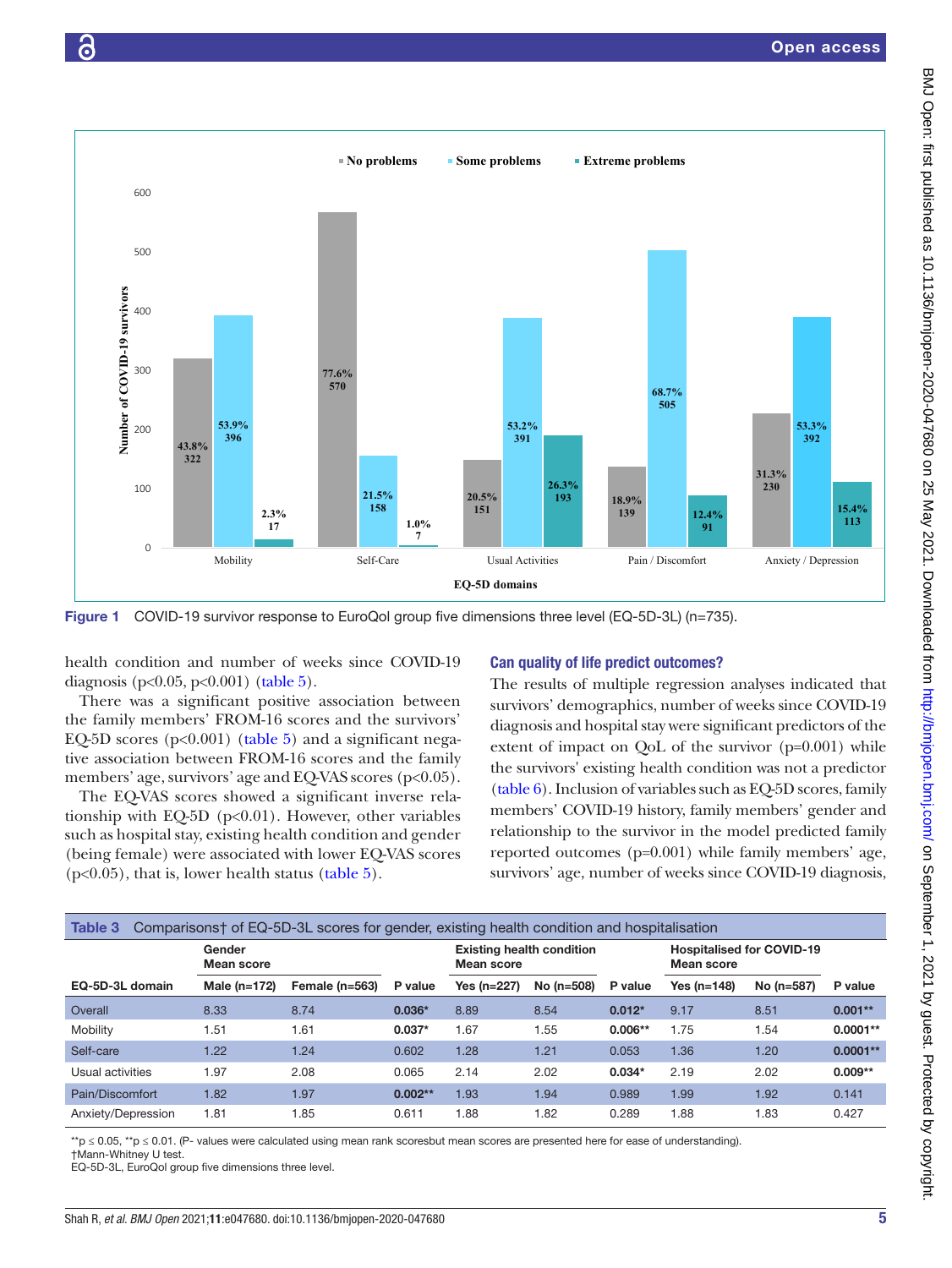

<span id="page-4-0"></span>Figure 1 COVID-19 survivor response to EuroQol group five dimensions three level (EQ-5D-3L) (n=735).

health condition and number of weeks since COVID-19 diagnosis (p<0.05, p<0.001) ([table](#page-6-0) 5).

There was a significant positive association between the family members' FROM-16 scores and the survivors' EQ-5D scores ( $p<0.001$ ) ([table](#page-6-0) 5) and a significant negative association between FROM-16 scores and the family members' age, survivors' age and EQ-VAS scores (p<0.05).

The EQ-VAS scores showed a significant inverse relationship with EQ-5D ( $p<0.01$ ). However, other variables such as hospital stay, existing health condition and gender (being female) were associated with lower EQ-VAS scores  $(p<0.05)$ , that is, lower health status [\(table](#page-6-0) 5).

#### Can quality of life predict outcomes?

The results of multiple regression analyses indicated that survivors' demographics, number of weeks since COVID-19 diagnosis and hospital stay were significant predictors of the extent of impact on QoL of the survivor (p=0.001) while the survivors' existing health condition was not a predictor [\(table](#page-7-0) 6). Inclusion of variables such as EQ-5D scores, family members' COVID-19 history, family members' gender and relationship to the survivor in the model predicted family reported outcomes (p=0.001) while family members' age, survivors' age, number of weeks since COVID-19 diagnosis,

<span id="page-4-1"></span>

| Table 3            |                      | Comparisons† of EQ-5D-3L scores for gender, existing health condition and hospitalisation |           |                                                |            |           |                                                       |            |            |
|--------------------|----------------------|-------------------------------------------------------------------------------------------|-----------|------------------------------------------------|------------|-----------|-------------------------------------------------------|------------|------------|
|                    | Gender<br>Mean score |                                                                                           |           | <b>Existing health condition</b><br>Mean score |            |           | <b>Hospitalised for COVID-19</b><br><b>Mean score</b> |            |            |
| EQ-5D-3L domain    | Male $(n=172)$       | Female $(n=563)$                                                                          | P value   | <b>Yes (n=227)</b>                             | No (n=508) | P value   | Yes (n=148)                                           | No (n=587) | P value    |
| Overall            | 8.33                 | 8.74                                                                                      | $0.036*$  | 8.89                                           | 8.54       | $0.012*$  | 9.17                                                  | 8.51       | $0.001**$  |
| Mobility           | 1.51                 | 1.61                                                                                      | $0.037*$  | 1.67                                           | 1.55       | $0.006**$ | 1.75                                                  | 1.54       | $0.0001**$ |
| Self-care          | 1.22                 | 1.24                                                                                      | 0.602     | 1.28                                           | 1.21       | 0.053     | 1.36                                                  | 1.20       | $0.0001**$ |
| Usual activities   | 1.97                 | 2.08                                                                                      | 0.065     | 2.14                                           | 2.02       | $0.034*$  | 2.19                                                  | 2.02       | $0.009**$  |
| Pain/Discomfort    | 1.82                 | 1.97                                                                                      | $0.002**$ | 1.93                                           | 1.94       | 0.989     | 1.99                                                  | 1.92       | 0.141      |
| Anxiety/Depression | 1.81                 | 1.85                                                                                      | 0.611     | 1.88                                           | 1.82       | 0.289     | 1.88                                                  | 1.83       | 0.427      |

\*\*p ≤ 0.05, \*\*p ≤ 0.01. (P- values were calculated using mean rank scoresbut mean scores are presented here for ease of understanding).

†Mann-Whitney U test.

EQ-5D-3L, EuroQol group five dimensions three level.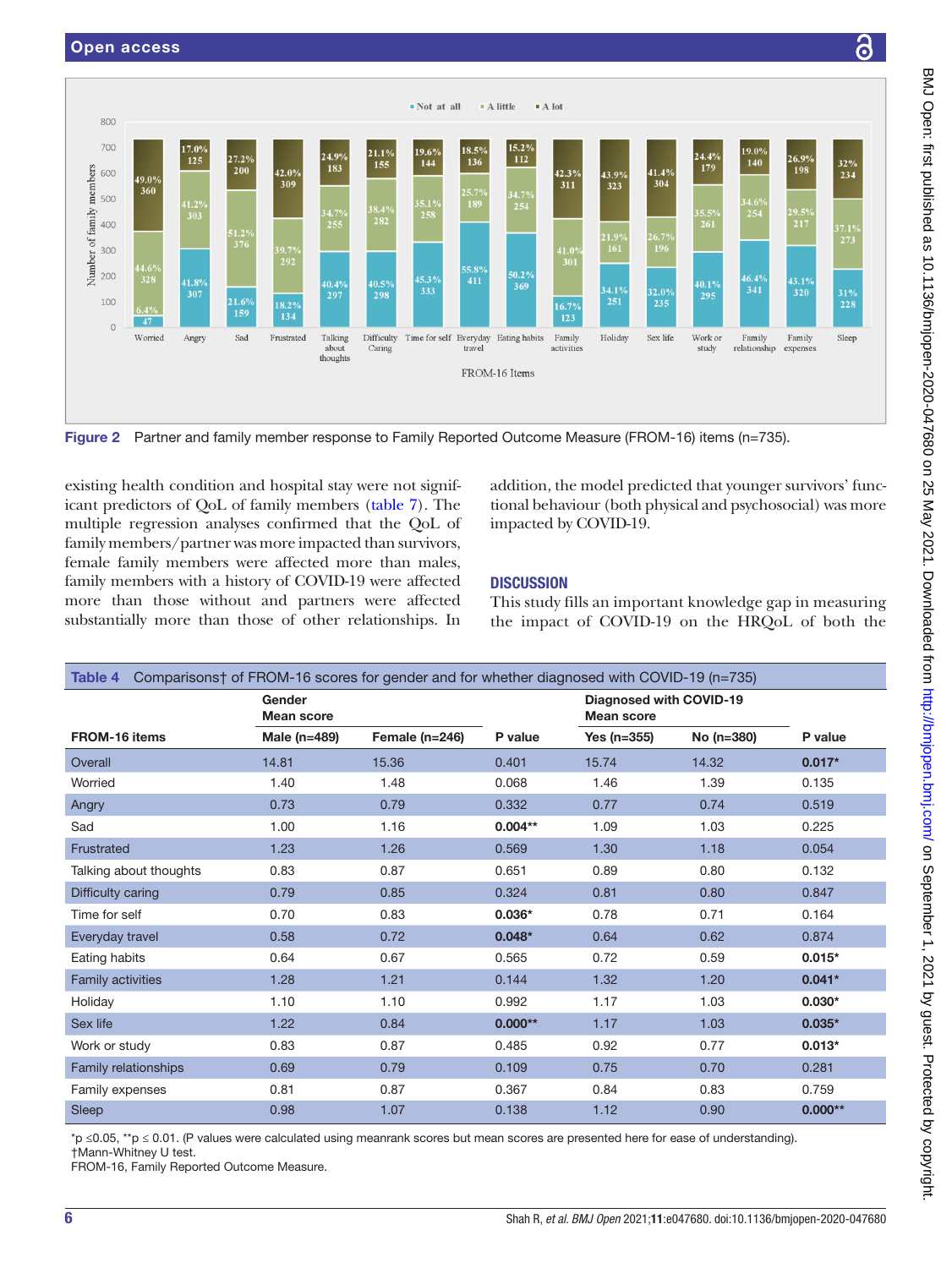

<span id="page-5-0"></span>Figure 2 Partner and family member response to Family Reported Outcome Measure (FROM-16) items (n=735).

existing health condition and hospital stay were not significant predictors of QoL of family members [\(table](#page-8-0) 7). The multiple regression analyses confirmed that the QoL of family members/partner was more impacted than survivors, female family members were affected more than males, family members with a history of COVID-19 were affected more than those without and partners were affected substantially more than those of other relationships. In

addition, the model predicted that younger survivors' functional behaviour (both physical and psychosocial) was more impacted by COVID-19.

# **DISCUSSION**

This study fills an important knowledge gap in measuring the impact of COVID-19 on the HRQoL of both the

<span id="page-5-1"></span>

| Comparisons† of FROM-16 scores for gender and for whether diagnosed with COVID-19 (n=735)<br>Table 4 |                             |                  |           |                                              |            |           |
|------------------------------------------------------------------------------------------------------|-----------------------------|------------------|-----------|----------------------------------------------|------------|-----------|
|                                                                                                      | Gender<br><b>Mean score</b> |                  |           | Diagnosed with COVID-19<br><b>Mean score</b> |            |           |
| <b>FROM-16 items</b>                                                                                 | Male (n=489)                | Female $(n=246)$ | P value   | Yes (n=355)                                  | No (n=380) | P value   |
| Overall                                                                                              | 14.81                       | 15.36            | 0.401     | 15.74                                        | 14.32      | $0.017*$  |
| Worried                                                                                              | 1.40                        | 1.48             | 0.068     | 1.46                                         | 1.39       | 0.135     |
| Angry                                                                                                | 0.73                        | 0.79             | 0.332     | 0.77                                         | 0.74       | 0.519     |
| Sad                                                                                                  | 1.00                        | 1.16             | $0.004**$ | 1.09                                         | 1.03       | 0.225     |
| Frustrated                                                                                           | 1.23                        | 1.26             | 0.569     | 1.30                                         | 1.18       | 0.054     |
| Talking about thoughts                                                                               | 0.83                        | 0.87             | 0.651     | 0.89                                         | 0.80       | 0.132     |
| Difficulty caring                                                                                    | 0.79                        | 0.85             | 0.324     | 0.81                                         | 0.80       | 0.847     |
| Time for self                                                                                        | 0.70                        | 0.83             | $0.036*$  | 0.78                                         | 0.71       | 0.164     |
| Everyday travel                                                                                      | 0.58                        | 0.72             | $0.048*$  | 0.64                                         | 0.62       | 0.874     |
| Eating habits                                                                                        | 0.64                        | 0.67             | 0.565     | 0.72                                         | 0.59       | $0.015*$  |
| <b>Family activities</b>                                                                             | 1.28                        | 1.21             | 0.144     | 1.32                                         | 1.20       | $0.041*$  |
| Holiday                                                                                              | 1.10                        | 1.10             | 0.992     | 1.17                                         | 1.03       | $0.030*$  |
| Sex life                                                                                             | 1.22                        | 0.84             | $0.000**$ | 1.17                                         | 1.03       | $0.035*$  |
| Work or study                                                                                        | 0.83                        | 0.87             | 0.485     | 0.92                                         | 0.77       | $0.013*$  |
| Family relationships                                                                                 | 0.69                        | 0.79             | 0.109     | 0.75                                         | 0.70       | 0.281     |
| Family expenses                                                                                      | 0.81                        | 0.87             | 0.367     | 0.84                                         | 0.83       | 0.759     |
| Sleep                                                                                                | 0.98                        | 1.07             | 0.138     | 1.12                                         | 0.90       | $0.000**$ |

\*p ≤0.05, \*\*p ≤ 0.01. (P values were calculated using meanrank scores but mean scores are presented here for ease of understanding). †Mann-Whitney U test.

FROM-16, Family Reported Outcome Measure.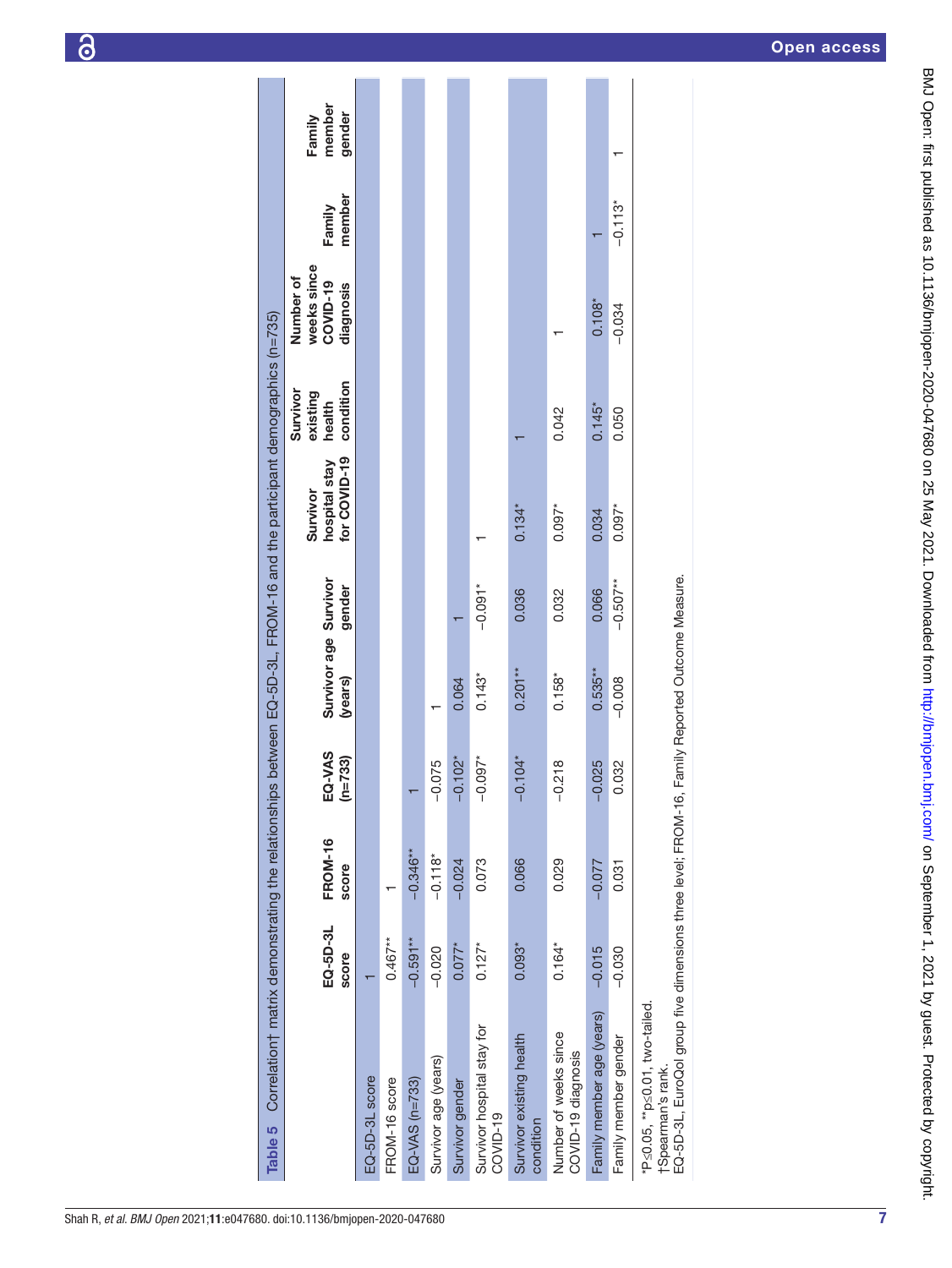|                                                                                                                                                              | Correlation† matrix demonstrating the relationships between EQ-5D-3L, FROM-16 and the participant demographics (n=735) |                         |                     |                                  |            |                                           |                                             |                                                   |                  |                            |
|--------------------------------------------------------------------------------------------------------------------------------------------------------------|------------------------------------------------------------------------------------------------------------------------|-------------------------|---------------------|----------------------------------|------------|-------------------------------------------|---------------------------------------------|---------------------------------------------------|------------------|----------------------------|
|                                                                                                                                                              | EQ-5D-3L<br>score                                                                                                      | <b>FROM-16</b><br>score | EQ-VAS<br>$(n=733)$ | Survivor age Survivor<br>(years) | gender     | for COVID-19<br>hospital stay<br>Survivor | condition<br>Survivor<br>existing<br>health | weeks since<br>Number of<br>COVID-19<br>diagnosis | member<br>Family | member<br>gender<br>Family |
| EQ-5D-3L score                                                                                                                                               |                                                                                                                        |                         |                     |                                  |            |                                           |                                             |                                                   |                  |                            |
| FROM-16 score                                                                                                                                                | $0.467***$                                                                                                             |                         |                     |                                  |            |                                           |                                             |                                                   |                  |                            |
| $EQ-VAS$ (n=733)                                                                                                                                             | $-0.591**$                                                                                                             | $-0.346**$              |                     |                                  |            |                                           |                                             |                                                   |                  |                            |
| Survivor age (years)                                                                                                                                         | $-0.020$                                                                                                               | $-0.118*$               | $-0.075$            |                                  |            |                                           |                                             |                                                   |                  |                            |
| Survivor gender                                                                                                                                              | $0.077*$                                                                                                               | $-0.024$                | $-0.102*$           | 0.064                            |            |                                           |                                             |                                                   |                  |                            |
| Survivor hospital stay for<br>COVID-19                                                                                                                       | $0.127*$                                                                                                               | 0.073                   | $-0.097*$           | $0.143*$                         | $-0.091*$  |                                           |                                             |                                                   |                  |                            |
| Survivor existing health<br>condition                                                                                                                        | $0.093*$                                                                                                               | 0.066                   | $-0.104*$           | $0.201***$                       | 0.036      | $0.134*$                                  |                                             |                                                   |                  |                            |
| Number of weeks since<br>COVID-19 diagnosis                                                                                                                  | $0.164*$                                                                                                               | 0.029                   | $-0.218$            | $0.158*$                         | 0.032      | $0.097*$                                  | 0.042                                       |                                                   |                  |                            |
| Family member age (years)                                                                                                                                    | $-0.015$                                                                                                               | $-0.077$                | $-0.025$            | $0.535***$                       | 0.066      | 0.034                                     | $0.145*$                                    | $0.108*$                                          |                  |                            |
| Family member gender                                                                                                                                         | $-0.030$                                                                                                               | 0.031                   | 0.032               | $-0.008$                         | $-0.507**$ | $0.097*$                                  | 0.050                                       | $-0.034$                                          | $-0.113*$        |                            |
| EQ-5D-3L, EuroQol group five dimensions three level; FROM-16, Family Reported Outcome Measure.<br>*P≤0.05, **p≤0.01, two-tailed.<br><b>TSpearman's rank.</b> |                                                                                                                        |                         |                     |                                  |            |                                           |                                             |                                                   |                  |                            |

 $\overline{\phantom{a}}$ 

<span id="page-6-0"></span>7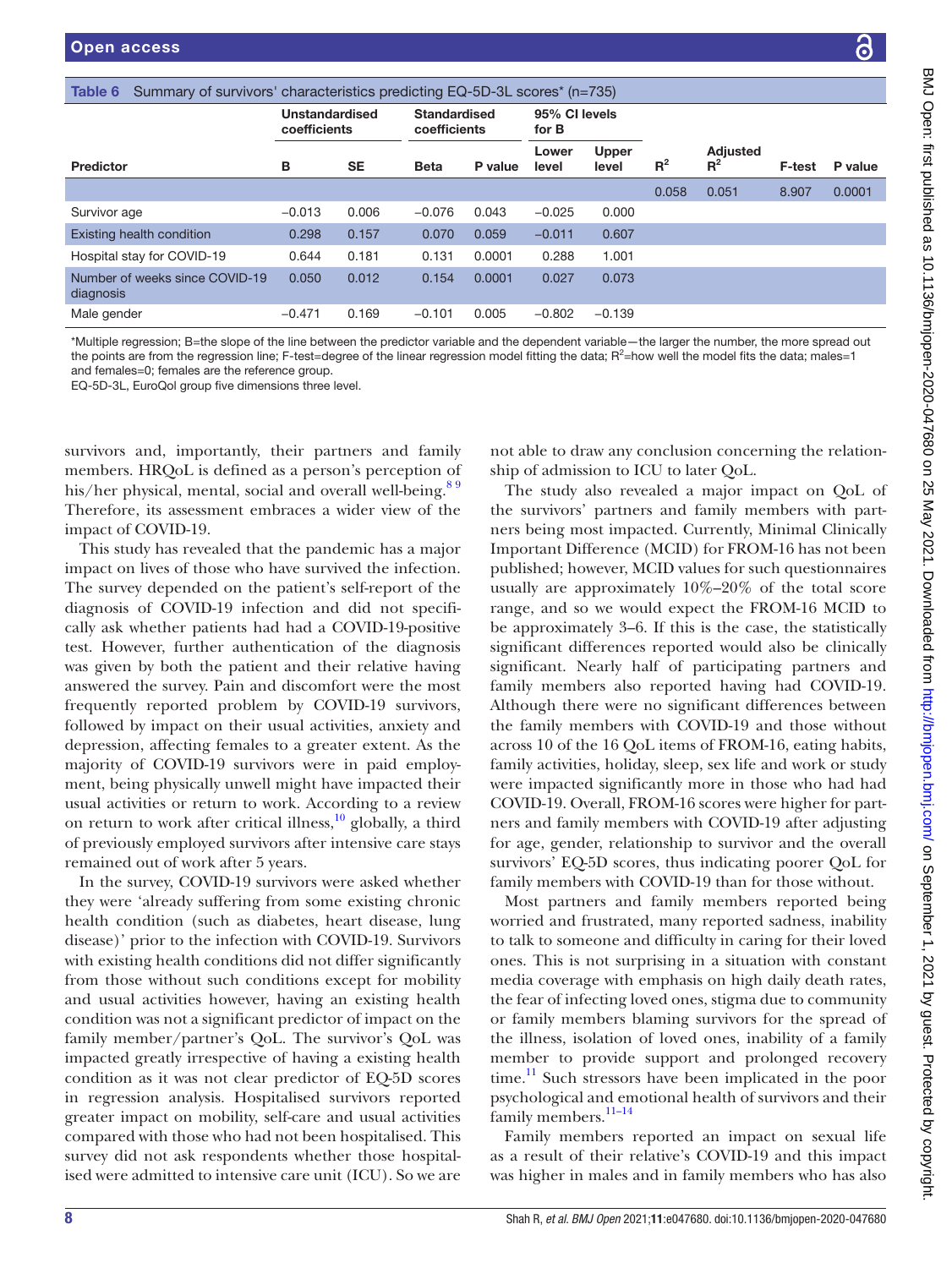<span id="page-7-0"></span>

| Summary of survivors' characteristics predicting EQ-5D-3L scores* (n=735)<br>Table 6 |                                |           |                                     |         |                        |                       |       |                          |               |         |
|--------------------------------------------------------------------------------------|--------------------------------|-----------|-------------------------------------|---------|------------------------|-----------------------|-------|--------------------------|---------------|---------|
|                                                                                      | Unstandardised<br>coefficients |           | <b>Standardised</b><br>coefficients |         | 95% CI levels<br>for B |                       |       |                          |               |         |
| Predictor                                                                            | в                              | <b>SE</b> | <b>Beta</b>                         | P value | Lower<br>level         | <b>Upper</b><br>level | $R^2$ | <b>Adjusted</b><br>$R^2$ | <b>F-test</b> | P value |
|                                                                                      |                                |           |                                     |         |                        |                       | 0.058 | 0.051                    | 8.907         | 0.0001  |
| Survivor age                                                                         | $-0.013$                       | 0.006     | $-0.076$                            | 0.043   | $-0.025$               | 0.000                 |       |                          |               |         |
| Existing health condition                                                            | 0.298                          | 0.157     | 0.070                               | 0.059   | $-0.011$               | 0.607                 |       |                          |               |         |
| Hospital stay for COVID-19                                                           | 0.644                          | 0.181     | 0.131                               | 0.0001  | 0.288                  | 1.001                 |       |                          |               |         |
| Number of weeks since COVID-19<br>diagnosis                                          | 0.050                          | 0.012     | 0.154                               | 0.0001  | 0.027                  | 0.073                 |       |                          |               |         |
| Male gender                                                                          | $-0.471$                       | 0.169     | $-0.101$                            | 0.005   | $-0.802$               | $-0.139$              |       |                          |               |         |

\*Multiple regression; B=the slope of the line between the predictor variable and the dependent variable—the larger the number, the more spread out the points are from the regression line; F-test=degree of the linear regression model fitting the data;  $R^2$ =how well the model fits the data; males=1 and females=0; females are the reference group.

EQ-5D-3L, EuroQol group five dimensions three level.

survivors and, importantly, their partners and family members. HRQoL is defined as a person's perception of his/her physical, mental, social and overall well-being.<sup>89</sup> Therefore, its assessment embraces a wider view of the impact of COVID-19.

This study has revealed that the pandemic has a major impact on lives of those who have survived the infection. The survey depended on the patient's self-report of the diagnosis of COVID-19 infection and did not specifically ask whether patients had had a COVID-19-positive test. However, further authentication of the diagnosis was given by both the patient and their relative having answered the survey. Pain and discomfort were the most frequently reported problem by COVID-19 survivors, followed by impact on their usual activities, anxiety and depression, affecting females to a greater extent. As the majority of COVID-19 survivors were in paid employment, being physically unwell might have impacted their usual activities or return to work. According to a review on return to work after critical illness, $\frac{10}{10}$  globally, a third of previously employed survivors after intensive care stays remained out of work after 5 years.

In the survey, COVID-19 survivors were asked whether they were 'already suffering from some existing chronic health condition (such as diabetes, heart disease, lung disease)' prior to the infection with COVID-19. Survivors with existing health conditions did not differ significantly from those without such conditions except for mobility and usual activities however, having an existing health condition was not a significant predictor of impact on the family member/partner's QoL. The survivor's QoL was impacted greatly irrespective of having a existing health condition as it was not clear predictor of EQ-5D scores in regression analysis. Hospitalised survivors reported greater impact on mobility, self-care and usual activities compared with those who had not been hospitalised. This survey did not ask respondents whether those hospitalised were admitted to intensive care unit (ICU). So we are

not able to draw any conclusion concerning the relationship of admission to ICU to later QoL.

The study also revealed a major impact on QoL of the survivors' partners and family members with partners being most impacted. Currently, Minimal Clinically Important Difference (MCID) for FROM-16 has not been published; however, MCID values for such questionnaires usually are approximately 10%–20% of the total score range, and so we would expect the FROM-16 MCID to be approximately 3–6. If this is the case, the statistically significant differences reported would also be clinically significant. Nearly half of participating partners and family members also reported having had COVID-19. Although there were no significant differences between the family members with COVID-19 and those without across 10 of the 16 QoL items of FROM-16, eating habits, family activities, holiday, sleep, sex life and work or study were impacted significantly more in those who had had COVID-19. Overall, FROM-16 scores were higher for partners and family members with COVID-19 after adjusting for age, gender, relationship to survivor and the overall survivors' EQ-5D scores, thus indicating poorer QoL for family members with COVID-19 than for those without.

Most partners and family members reported being worried and frustrated, many reported sadness, inability to talk to someone and difficulty in caring for their loved ones. This is not surprising in a situation with constant media coverage with emphasis on high daily death rates, the fear of infecting loved ones, stigma due to community or family members blaming survivors for the spread of the illness, isolation of loved ones, inability of a family member to provide support and prolonged recovery  $time.<sup>11</sup>$  Such stressors have been implicated in the poor psychological and emotional health of survivors and their family members.<sup>11-14</sup>

Family members reported an impact on sexual life as a result of their relative's COVID-19 and this impact was higher in males and in family members who has also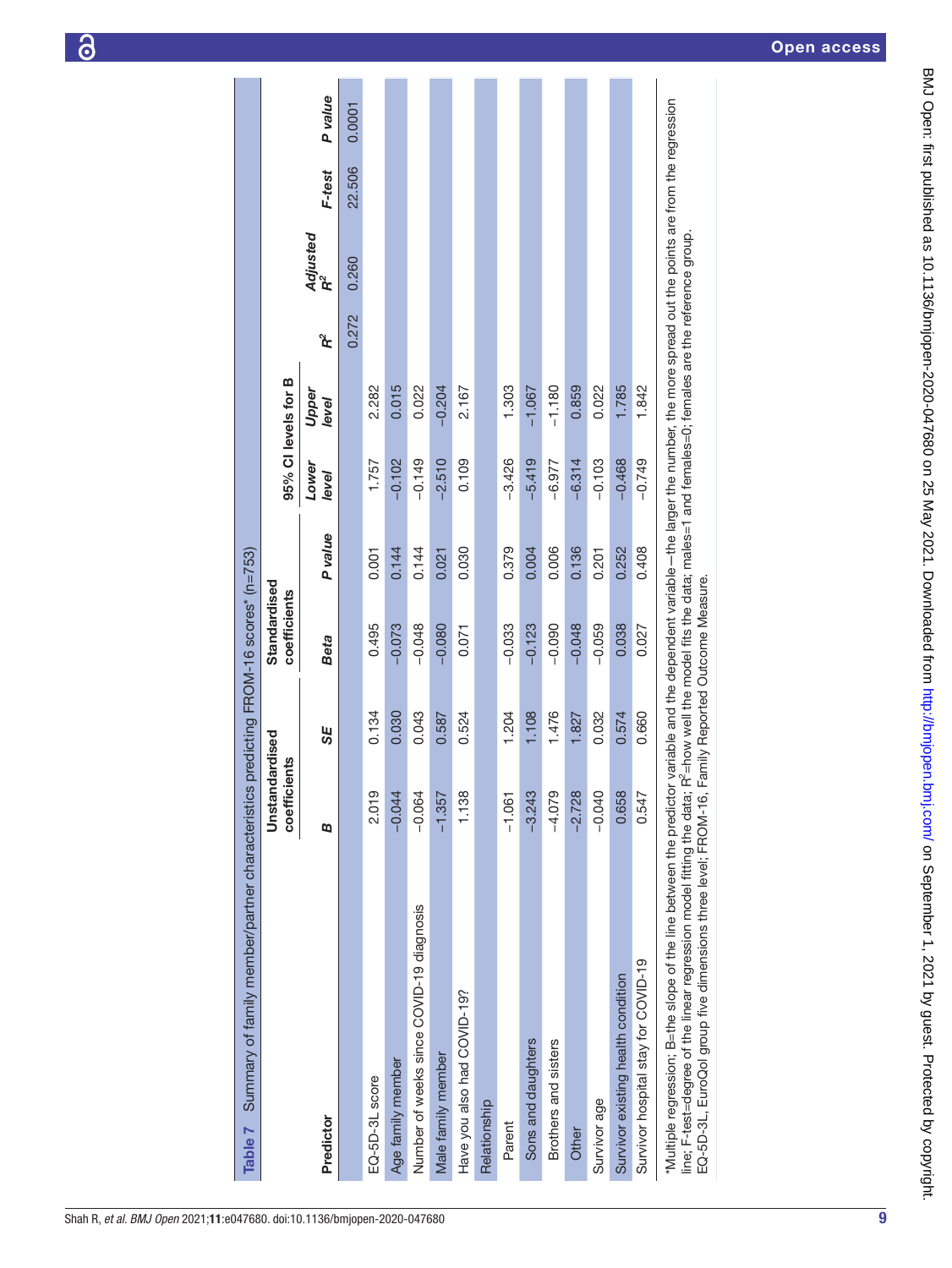| Summary of family member/partner characteristics predicting FROM-16 scores* (n=753)<br>Table 7                                                                                                                          |                                |       |                              |                |                     |                |          |                |        |         |
|-------------------------------------------------------------------------------------------------------------------------------------------------------------------------------------------------------------------------|--------------------------------|-------|------------------------------|----------------|---------------------|----------------|----------|----------------|--------|---------|
|                                                                                                                                                                                                                         | Unstandardised<br>coefficients |       | Standardised<br>coefficients |                | 95% CI levels for B |                |          |                |        |         |
| Predictor                                                                                                                                                                                                               | œ                              | SE    | <b>Beta</b>                  | <b>P</b> value | Lower<br>level      | Upper<br>level | <u>፝</u> | Adjusted<br>ີຂ | F-test | P value |
|                                                                                                                                                                                                                         |                                |       |                              |                |                     |                | 0.272    | 0.260          | 22.506 | 0.0001  |
| EQ-5D-3L score                                                                                                                                                                                                          | 2.019                          | 0.134 | 0.495                        | 0.001          | 1.757               | 2.282          |          |                |        |         |
| Age family member                                                                                                                                                                                                       | $-0.044$                       | 0.030 | $-0.073$                     | 0.144          | $-0.102$            | 0.015          |          |                |        |         |
| Number of weeks since COVID-19 diagnosis                                                                                                                                                                                | $-0.064$                       | 0.043 | $-0.048$                     | 0.144          | $-0.149$            | 0.022          |          |                |        |         |
| Male family member                                                                                                                                                                                                      | $-1.357$                       | 0.587 | $-0.080$                     | 0.021          | $-2.510$            | $-0.204$       |          |                |        |         |
| Have you also had COVID-19?                                                                                                                                                                                             | 1.138                          | 0.524 | 0.071                        | 0.030          | 0.109               | 2.167          |          |                |        |         |
| Relationship                                                                                                                                                                                                            |                                |       |                              |                |                     |                |          |                |        |         |
| Parent                                                                                                                                                                                                                  | $-1.061$                       | 1.204 | $-0.033$                     | 0.379          | $-3.426$            | 1.303          |          |                |        |         |
| Sons and daughters                                                                                                                                                                                                      | $-3.243$                       | 1.108 | $-0.123$                     | 0.004          | $-5.419$            | $-1.067$       |          |                |        |         |
| Brothers and sisters                                                                                                                                                                                                    | $-4.079$                       | 1.476 | $-0.090$                     | 0.006          | $-6.977$            | $-1.180$       |          |                |        |         |
| Other                                                                                                                                                                                                                   | $-2.728$                       | 1.827 | $-0.048$                     | 0.136          | $-6.314$            | 0.859          |          |                |        |         |
| Survivor age                                                                                                                                                                                                            | $-0.040$                       | 0.032 | $-0.059$                     | 0.201          | $-0.103$            | 0.022          |          |                |        |         |
| Survivor existing health condition                                                                                                                                                                                      | 0.658                          | 0.574 | 0.038                        | 0.252          | $-0.468$            | 1.785          |          |                |        |         |
| Survivor hospital stay for COVID-19                                                                                                                                                                                     | 0.547                          | 0.660 | 0.027                        | 0.408          | $-0.749$            | 1.842          |          |                |        |         |
| *Multiple regression; B=the slope of the line between the predictor variable and the dependent variable – the larger the number, the more spread out the points are from the regression<br>i<br>I<br>I<br>$\frac{1}{2}$ | $\sim$ $\sim$                  |       |                              |                |                     |                |          |                |        |         |

line; F-test=degree of the linear regression model fitting the data; R<sup>a</sup>⊨how well the model fits the data; males=1 and females=0; females are the reference group.<br>EQ-5D-3L, EuroQol group five dimensions three level; FROM line; F-test=degree of the linear regression model fitting the data; R2=how well the model fits the data; males=1 and females=0; females are the reference group. EQ-5D-3L, EuroQol group five dimensions three level; FROM-16, Family Reported Outcome Measure.

<span id="page-8-0"></span>9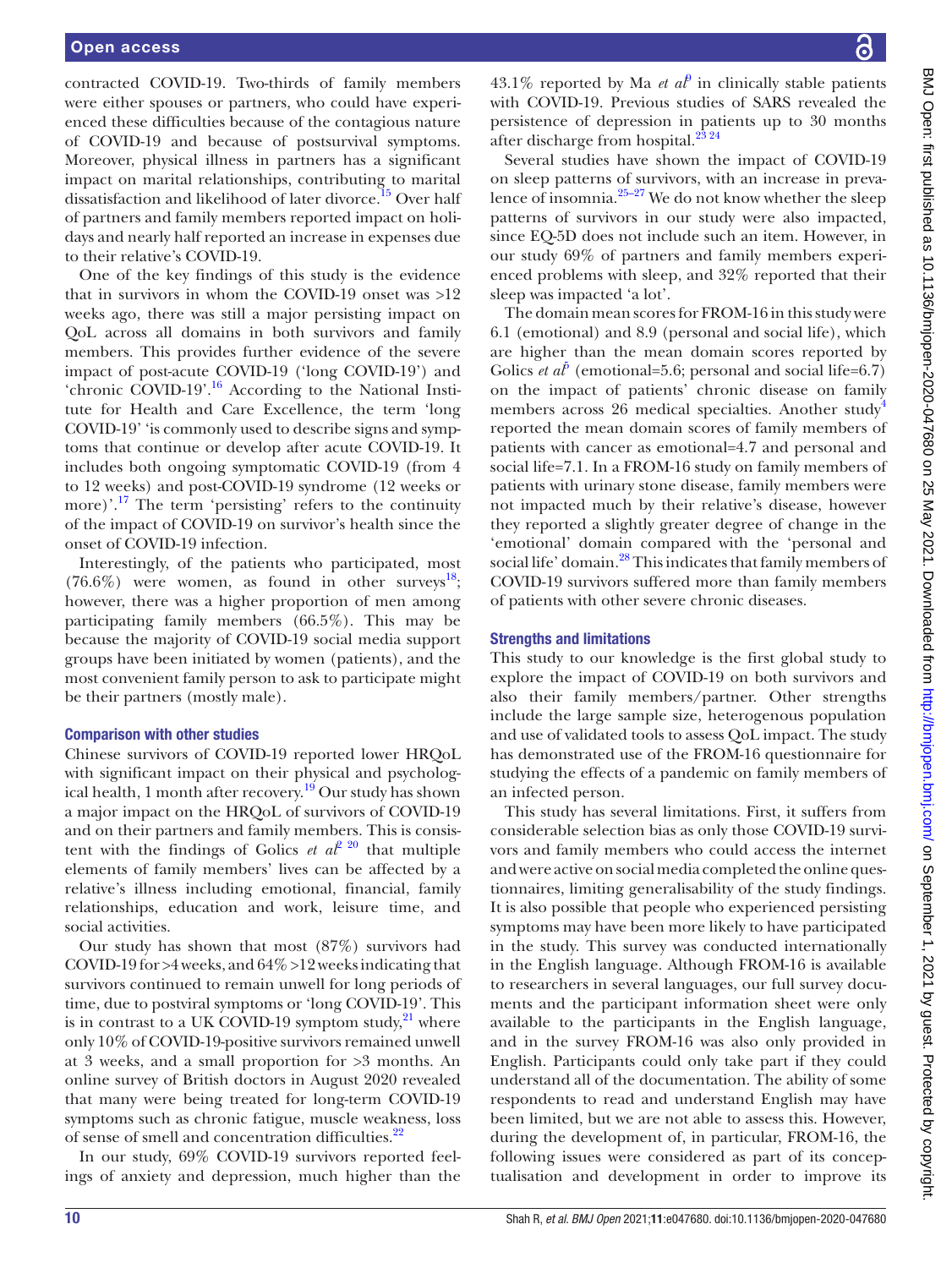contracted COVID-19. Two-thirds of family members were either spouses or partners, who could have experienced these difficulties because of the contagious nature of COVID-19 and because of postsurvival symptoms. Moreover, physical illness in partners has a significant impact on marital relationships, contributing to marital dissatisfaction and likelihood of later divorce.<sup>15</sup> Over half of partners and family members reported impact on holidays and nearly half reported an increase in expenses due to their relative's COVID-19.

One of the key findings of this study is the evidence that in survivors in whom the COVID-19 onset was >12 weeks ago, there was still a major persisting impact on QoL across all domains in both survivors and family members. This provides further evidence of the severe impact of post-acute COVID-19 ('long COVID-19') and 'chronic COVID-19'.<sup>[16](#page-11-10)</sup> According to the National Institute for Health and Care Excellence, the term 'long COVID-19' 'is commonly used to describe signs and symptoms that continue or develop after acute COVID-19. It includes both ongoing symptomatic COVID-19 (from 4 to 12 weeks) and post-COVID-19 syndrome (12 weeks or more)'.[17](#page-11-11) The term 'persisting' refers to the continuity of the impact of COVID-19 on survivor's health since the onset of COVID-19 infection.

Interestingly, of the patients who participated, most  $(76.6\%)$  were women, as found in other surveys<sup>[18](#page-11-12)</sup>; however, there was a higher proportion of men among participating family members (66.5%). This may be because the majority of COVID-19 social media support groups have been initiated by women (patients), and the most convenient family person to ask to participate might be their partners (mostly male).

#### Comparison with other studies

Chinese survivors of COVID-19 reported lower HRQoL with significant impact on their physical and psycholog-ical health, 1 month after recovery.<sup>[19](#page-11-13)</sup> Our study has shown a major impact on the HRQoL of survivors of COVID-19 and on their partners and family members. This is consistent with the findings of Golics *et al*<sup>2</sup> <sup>20</sup> that multiple elements of family members' lives can be affected by a relative's illness including emotional, financial, family relationships, education and work, leisure time, and social activities.

Our study has shown that most (87%) survivors had COVID-19 for >4 weeks, and 64% >12 weeks indicating that survivors continued to remain unwell for long periods of time, due to postviral symptoms or 'long COVID-19'. This is in contrast to a UK COVID-19 symptom study, $^{21}$  where only 10% of COVID-19-positive survivors remained unwell at 3 weeks, and a small proportion for >3 months. An online survey of British doctors in August 2020 revealed that many were being treated for long-term COVID-19 symptoms such as chronic fatigue, muscle weakness, loss of sense of smell and concentration difficulties.<sup>[22](#page-12-0)</sup>

In our study, 69% COVID-19 survivors reported feelings of anxiety and depression, much higher than the

43.1% reported by Ma *et al*<sup> $\theta$ </sup> in clinically stable patients with COVID-19. Previous studies of SARS revealed the persistence of depression in patients up to 30 months after discharge from hospital.<sup>23</sup><sup>24</sup>

Several studies have shown the impact of COVID-19 on sleep patterns of survivors, with an increase in prevalence of insomnia. $25-27$  We do not know whether the sleep patterns of survivors in our study were also impacted, since EQ-5D does not include such an item. However, in our study 69% of partners and family members experienced problems with sleep, and 32% reported that their sleep was impacted 'a lot'.

The domain mean scores for FROM-16 in this study were 6.1 (emotional) and 8.9 (personal and social life), which are higher than the mean domain scores reported by Golics *et al*<sup> $5$ </sup> (emotional=5.6; personal and social life=6.7) on the impact of patients' chronic disease on family members across 26 medical specialties. Another study<sup>[4](#page-11-3)</sup> reported the mean domain scores of family members of patients with cancer as emotional=4.7 and personal and social life=7.1. In a FROM-16 study on family members of patients with urinary stone disease, family members were not impacted much by their relative's disease, however they reported a slightly greater degree of change in the 'emotional' domain compared with the 'personal and social life' domain.<sup>[28](#page-12-3)</sup> This indicates that family members of COVID-19 survivors suffered more than family members of patients with other severe chronic diseases.

#### Strengths and limitations

This study to our knowledge is the first global study to explore the impact of COVID-19 on both survivors and also their family members/partner. Other strengths include the large sample size, heterogenous population and use of validated tools to assess QoL impact. The study has demonstrated use of the FROM-16 questionnaire for studying the effects of a pandemic on family members of an infected person.

This study has several limitations. First, it suffers from considerable selection bias as only those COVID-19 survivors and family members who could access the internet and were active on social media completed the online questionnaires, limiting generalisability of the study findings. It is also possible that people who experienced persisting symptoms may have been more likely to have participated in the study. This survey was conducted internationally in the English language. Although FROM-16 is available to researchers in several languages, our full survey documents and the participant information sheet were only available to the participants in the English language, and in the survey FROM-16 was also only provided in English. Participants could only take part if they could understand all of the documentation. The ability of some respondents to read and understand English may have been limited, but we are not able to assess this. However, during the development of, in particular, FROM-16, the following issues were considered as part of its conceptualisation and development in order to improve its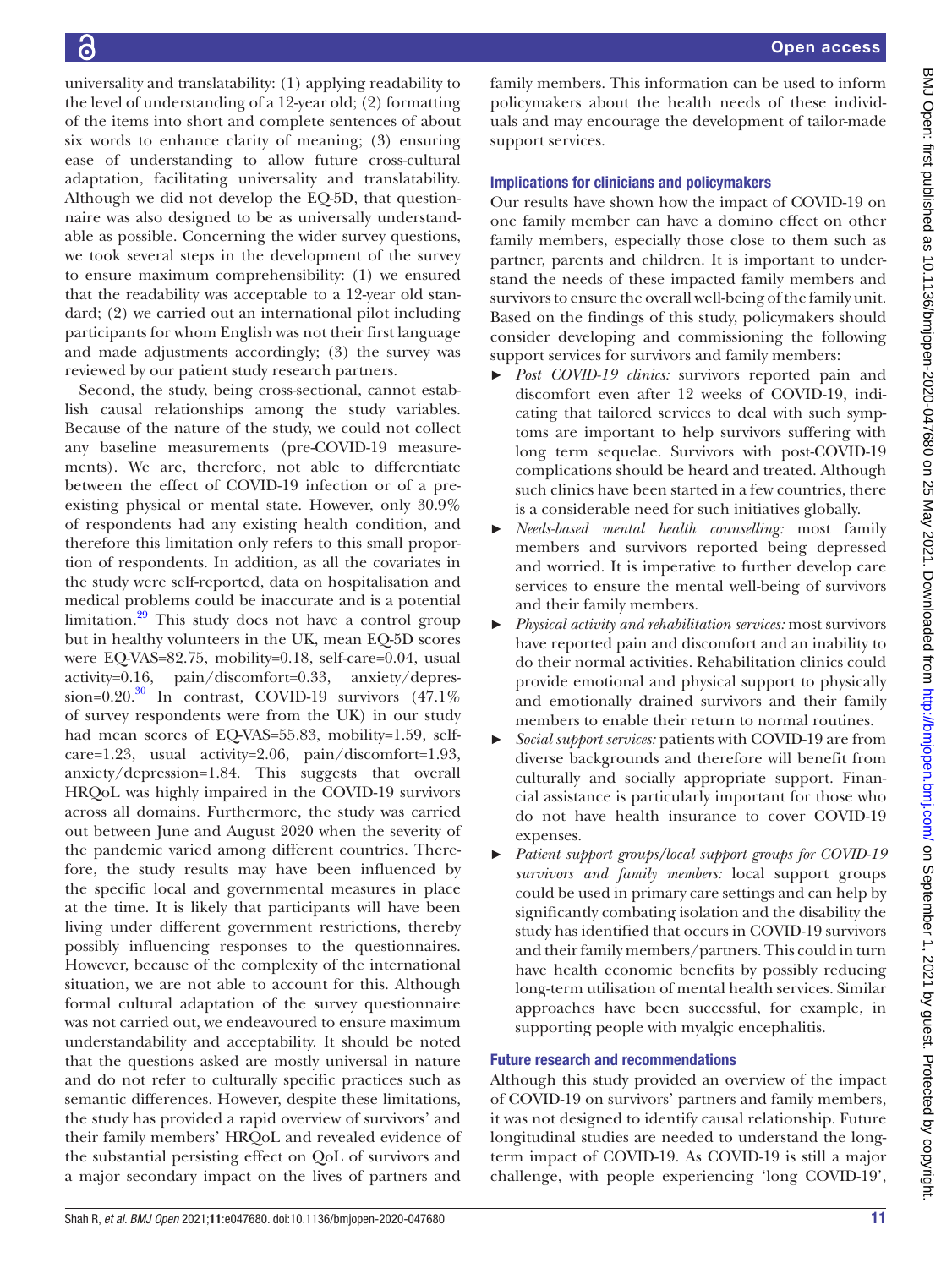universality and translatability: (1) applying readability to the level of understanding of a 12-year old; (2) formatting of the items into short and complete sentences of about six words to enhance clarity of meaning; (3) ensuring ease of understanding to allow future cross-cultural adaptation, facilitating universality and translatability. Although we did not develop the EQ-5D, that questionnaire was also designed to be as universally understandable as possible. Concerning the wider survey questions, we took several steps in the development of the survey to ensure maximum comprehensibility: (1) we ensured that the readability was acceptable to a 12-year old standard; (2) we carried out an international pilot including participants for whom English was not their first language and made adjustments accordingly; (3) the survey was reviewed by our patient study research partners. Second, the study, being cross-sectional, cannot estab-

lish causal relationships among the study variables. Because of the nature of the study, we could not collect any baseline measurements (pre-COVID-19 measurements). We are, therefore, not able to differentiate between the effect of COVID-19 infection or of a preexisting physical or mental state. However, only 30.9% of respondents had any existing health condition, and therefore this limitation only refers to this small proportion of respondents. In addition, as all the covariates in the study were self-reported, data on hospitalisation and medical problems could be inaccurate and is a potential limitation.<sup>29</sup> This study does not have a control group but in healthy volunteers in the UK, mean EQ-5D scores were EQ-VAS=82.75, mobility=0.18, self-care=0.04, usual activity=0.16, pain/discomfort=0.33, anxiety/depression= $0.20$ .<sup>30</sup> In contrast, COVID-19 survivors  $(47.1\%$ of survey respondents were from the UK) in our study had mean scores of EQ-VAS=55.83, mobility=1.59, selfcare=1.23, usual activity=2.06, pain/discomfort=1.93, anxiety/depression=1.84. This suggests that overall HRQoL was highly impaired in the COVID-19 survivors across all domains. Furthermore, the study was carried out between June and August 2020 when the severity of the pandemic varied among different countries. Therefore, the study results may have been influenced by the specific local and governmental measures in place at the time. It is likely that participants will have been living under different government restrictions, thereby possibly influencing responses to the questionnaires. However, because of the complexity of the international situation, we are not able to account for this. Although formal cultural adaptation of the survey questionnaire was not carried out, we endeavoured to ensure maximum understandability and acceptability. It should be noted that the questions asked are mostly universal in nature and do not refer to culturally specific practices such as semantic differences. However, despite these limitations, the study has provided a rapid overview of survivors' and their family members' HRQoL and revealed evidence of the substantial persisting effect on QoL of survivors and a major secondary impact on the lives of partners and

family members. This information can be used to inform policymakers about the health needs of these individuals and may encourage the development of tailor-made support services.

# Implications for clinicians and policymakers

Our results have shown how the impact of COVID-19 on one family member can have a domino effect on other family members, especially those close to them such as partner, parents and children. It is important to understand the needs of these impacted family members and survivors to ensure the overall well-being of the family unit. Based on the findings of this study, policymakers should consider developing and commissioning the following support services for survivors and family members:

- ► *Post COVID-19 clinics:* survivors reported pain and discomfort even after 12 weeks of COVID-19, indicating that tailored services to deal with such symptoms are important to help survivors suffering with long term sequelae. Survivors with post-COVID-19 complications should be heard and treated. Although such clinics have been started in a few countries, there is a considerable need for such initiatives globally.
- ► *Needs-based mental health counselling:* most family members and survivors reported being depressed and worried. It is imperative to further develop care services to ensure the mental well-being of survivors and their family members.
- ► *Physical activity and rehabilitation services:* most survivors have reported pain and discomfort and an inability to do their normal activities. Rehabilitation clinics could provide emotional and physical support to physically and emotionally drained survivors and their family members to enable their return to normal routines.
- ► *Social support services:* patients with COVID-19 are from diverse backgrounds and therefore will benefit from culturally and socially appropriate support. Financial assistance is particularly important for those who do not have health insurance to cover COVID-19 expenses.
- ► *Patient support groups/local support groups for COVID-19 survivors and family members:* local support groups could be used in primary care settings and can help by significantly combating isolation and the disability the study has identified that occurs in COVID-19 survivors and their family members/partners. This could in turn have health economic benefits by possibly reducing long-term utilisation of mental health services. Similar approaches have been successful, for example, in supporting people with myalgic encephalitis.

# Future research and recommendations

Although this study provided an overview of the impact of COVID-19 on survivors' partners and family members, it was not designed to identify causal relationship. Future longitudinal studies are needed to understand the longterm impact of COVID-19. As COVID-19 is still a major challenge, with people experiencing 'long COVID-19',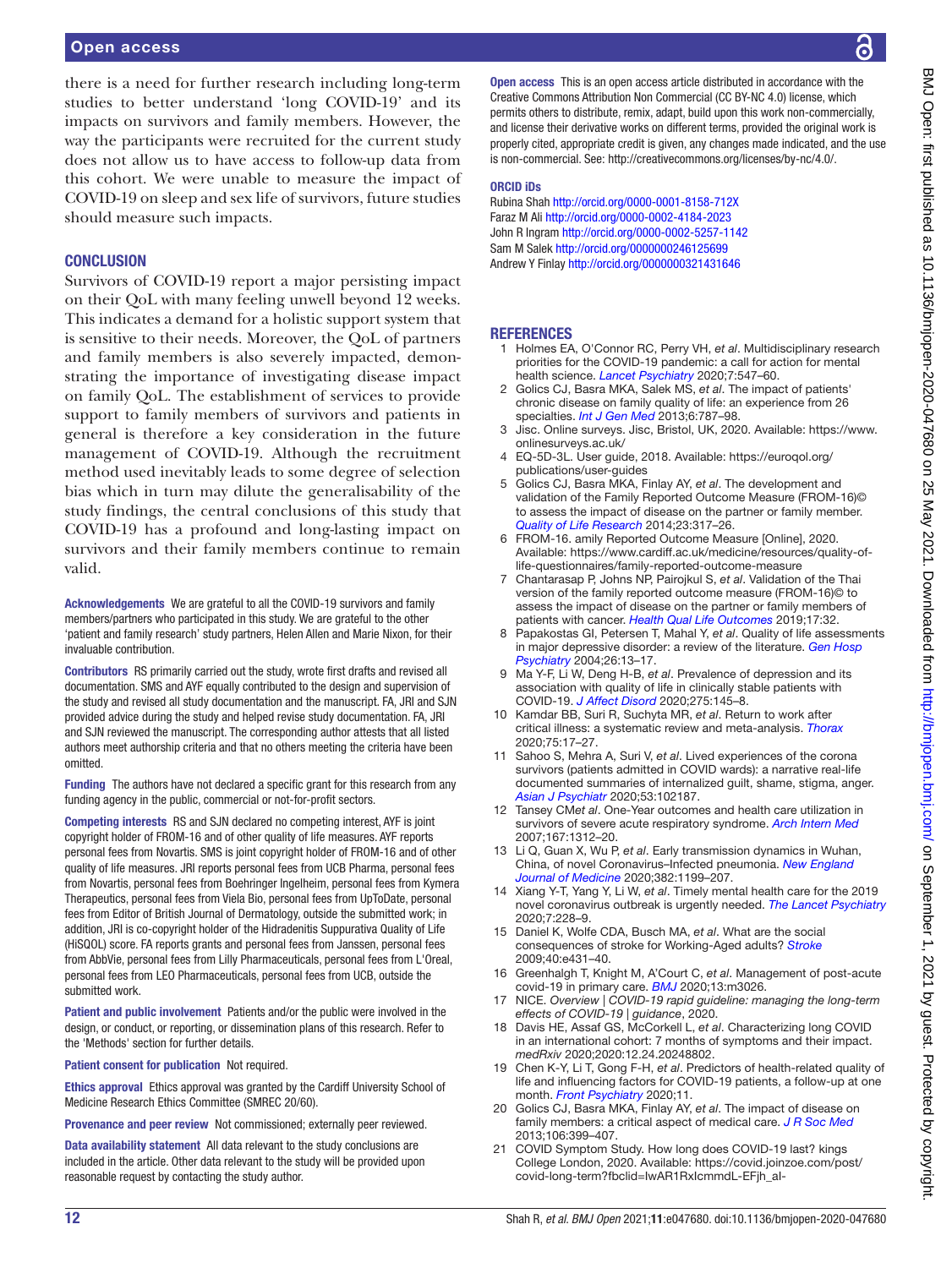there is a need for further research including long-term studies to better understand 'long COVID-19' and its impacts on survivors and family members. However, the way the participants were recruited for the current study does not allow us to have access to follow-up data from this cohort. We were unable to measure the impact of COVID-19 on sleep and sex life of survivors, future studies should measure such impacts.

#### **CONCLUSION**

Survivors of COVID-19 report a major persisting impact on their QoL with many feeling unwell beyond 12 weeks. This indicates a demand for a holistic support system that is sensitive to their needs. Moreover, the QoL of partners and family members is also severely impacted, demonstrating the importance of investigating disease impact on family QoL. The establishment of services to provide support to family members of survivors and patients in general is therefore a key consideration in the future management of COVID-19. Although the recruitment method used inevitably leads to some degree of selection bias which in turn may dilute the generalisability of the study findings, the central conclusions of this study that COVID-19 has a profound and long-lasting impact on survivors and their family members continue to remain valid.

Acknowledgements We are grateful to all the COVID-19 survivors and family members/partners who participated in this study. We are grateful to the other 'patient and family research' study partners, Helen Allen and Marie Nixon, for their invaluable contribution.

Contributors RS primarily carried out the study, wrote first drafts and revised all documentation. SMS and AYF equally contributed to the design and supervision of the study and revised all study documentation and the manuscript. FA, JRI and SJN provided advice during the study and helped revise study documentation. FA, JRI and SJN reviewed the manuscript. The corresponding author attests that all listed authors meet authorship criteria and that no others meeting the criteria have been omitted.

Funding The authors have not declared a specific grant for this research from any funding agency in the public, commercial or not-for-profit sectors.

Competing interests RS and SJN declared no competing interest, AYF is joint copyright holder of FROM-16 and of other quality of life measures. AYF reports personal fees from Novartis. SMS is joint copyright holder of FROM-16 and of other quality of life measures. JRI reports personal fees from UCB Pharma, personal fees from Novartis, personal fees from Boehringer Ingelheim, personal fees from Kymera Therapeutics, personal fees from Viela Bio, personal fees from UpToDate, personal fees from Editor of British Journal of Dermatology, outside the submitted work; in addition, JRI is co-copyright holder of the Hidradenitis Suppurativa Quality of Life (HiSQOL) score. FA reports grants and personal fees from Janssen, personal fees from AbbVie, personal fees from Lilly Pharmaceuticals, personal fees from L'Oreal, personal fees from LEO Pharmaceuticals, personal fees from UCB, outside the submitted work.

Patient and public involvement Patients and/or the public were involved in the design, or conduct, or reporting, or dissemination plans of this research. Refer to the 'Methods' section for further details.

Patient consent for publication Not required.

Ethics approval Ethics approval was granted by the Cardiff University School of Medicine Research Ethics Committee (SMREC 20/60).

Provenance and peer review Not commissioned; externally peer reviewed.

Data availability statement All data relevant to the study conclusions are included in the article. Other data relevant to the study will be provided upon reasonable request by contacting the study author.

Open access This is an open access article distributed in accordance with the Creative Commons Attribution Non Commercial (CC BY-NC 4.0) license, which permits others to distribute, remix, adapt, build upon this work non-commercially, and license their derivative works on different terms, provided the original work is properly cited, appropriate credit is given, any changes made indicated, and the use is non-commercial. See: [http://creativecommons.org/licenses/by-nc/4.0/.](http://creativecommons.org/licenses/by-nc/4.0/)

#### ORCID iDs

Rubina Shah<http://orcid.org/0000-0001-8158-712X> Faraz M Ali <http://orcid.org/0000-0002-4184-2023> John R Ingram <http://orcid.org/0000-0002-5257-1142> Sam M Salek <http://orcid.org/0000000246125699> Andrew Y Finlay <http://orcid.org/0000000321431646>

#### **REFERENCES**

- <span id="page-11-0"></span>1 Holmes EA, O'Connor RC, Perry VH, *et al*. Multidisciplinary research priorities for the COVID-19 pandemic: a call for action for mental health science. *[Lancet Psychiatry](http://dx.doi.org/10.1016/S2215-0366(20)30168-1)* 2020;7:547–60.
- <span id="page-11-1"></span>2 Golics CJ, Basra MKA, Salek MS, *et al*. The impact of patients' chronic disease on family quality of life: an experience from 26 specialties. *[Int J Gen Med](http://dx.doi.org/10.2147/IJGM.S45156)* 2013;6:787–98.
- <span id="page-11-2"></span>3 Jisc. Online surveys. Jisc, Bristol, UK, 2020. Available: [https://www.](https://www.onlinesurveys.ac.uk/) [onlinesurveys.ac.uk/](https://www.onlinesurveys.ac.uk/)
- <span id="page-11-3"></span>4 EQ-5D-3L. User guide, 2018. Available: [https://euroqol.org/](https://euroqol.org/publications/user-guides) [publications/user-guides](https://euroqol.org/publications/user-guides)
- <span id="page-11-4"></span>5 Golics CJ, Basra MKA, Finlay AY, *et al*. The development and validation of the Family Reported Outcome Measure (FROM-16)© to assess the impact of disease on the partner or family member. *[Quality of Life Research](http://dx.doi.org/10.1007/s11136-013-0457-y)* 2014;23:317–26.
- <span id="page-11-5"></span>6 FROM-16. amily Reported Outcome Measure [Online], 2020. Available: [https://www.cardiff.ac.uk/medicine/resources/quality-of](https://www.cardiff.ac.uk/medicine/resources/quality-of-life-questionnaires/family-reported-outcome-measure)[life-questionnaires/family-reported-outcome-measure](https://www.cardiff.ac.uk/medicine/resources/quality-of-life-questionnaires/family-reported-outcome-measure)
- 7 Chantarasap P, Johns NP, Pairojkul S, *et al*. Validation of the Thai version of the family reported outcome measure (FROM-16)© to assess the impact of disease on the partner or family members of patients with cancer. *[Health Qual Life Outcomes](http://dx.doi.org/10.1186/s12955-019-1091-3)* 2019;17:32.
- <span id="page-11-6"></span>8 Papakostas GI, Petersen T, Mahal Y, *et al*. Quality of life assessments in major depressive disorder: a review of the literature. *[Gen Hosp](http://dx.doi.org/10.1016/j.genhosppsych.2003.07.004)  [Psychiatry](http://dx.doi.org/10.1016/j.genhosppsych.2003.07.004)* 2004;26:13–17.
- <span id="page-11-15"></span>9 Ma Y-F, Li W, Deng H-B, *et al*. Prevalence of depression and its association with quality of life in clinically stable patients with COVID-19. *[J Affect Disord](http://dx.doi.org/10.1016/j.jad.2020.06.033)* 2020;275:145–8.
- <span id="page-11-7"></span>10 Kamdar BB, Suri R, Suchyta MR, *et al*. Return to work after critical illness: a systematic review and meta-analysis. *[Thorax](http://dx.doi.org/10.1136/thoraxjnl-2019-213803)* 2020;75:17–27.
- <span id="page-11-8"></span>11 Sahoo S, Mehra A, Suri V, *et al*. Lived experiences of the corona survivors (patients admitted in COVID wards): a narrative real-life documented summaries of internalized guilt, shame, stigma, anger. *[Asian J Psychiatr](http://dx.doi.org/10.1016/j.ajp.2020.102187)* 2020;53:102187.
- 12 Tansey CM*et al*. One-Year outcomes and health care utilization in survivors of severe acute respiratory syndrome. *[Arch Intern Med](http://dx.doi.org/10.1001/archinte.167.12.1312)* 2007;167:1312–20.
- 13 Li Q, Guan X, Wu P, *et al*. Early transmission dynamics in Wuhan, China, of novel Coronavirus–Infected pneumonia. *[New England](http://dx.doi.org/10.1056/NEJMoa2001316)  [Journal of Medicine](http://dx.doi.org/10.1056/NEJMoa2001316)* 2020;382:1199–207.
- 14 Xiang Y-T, Yang Y, Li W, *et al*. Timely mental health care for the 2019 novel coronavirus outbreak is urgently needed. *[The Lancet Psychiatry](http://dx.doi.org/10.1016/S2215-0366(20)30046-8)* 2020;7:228–9.
- <span id="page-11-9"></span>15 Daniel K, Wolfe CDA, Busch MA, *et al*. What are the social consequences of stroke for Working-Aged adults? *[Stroke](http://dx.doi.org/10.1161/STROKEAHA.108.534487)* 2009;40:e431–40.
- <span id="page-11-10"></span>16 Greenhalgh T, Knight M, A'Court C, *et al*. Management of post-acute covid-19 in primary care. *[BMJ](http://dx.doi.org/10.1136/bmj.m3026)* 2020;13:m3026.
- <span id="page-11-11"></span>17 NICE. *Overview | COVID-19 rapid guideline: managing the long-term effects of COVID-19 | guidance*, 2020.
- <span id="page-11-12"></span>18 Davis HE, Assaf GS, McCorkell L, *et al*. Characterizing long COVID in an international cohort: 7 months of symptoms and their impact. *medRxiv* 2020;2020:12.24.20248802.
- <span id="page-11-13"></span>19 Chen K-Y, Li T, Gong F-H, *et al*. Predictors of health-related quality of life and influencing factors for COVID-19 patients, a follow-up at one month. *[Front Psychiatry](http://dx.doi.org/10.3389/fpsyt.2020.00668)* 2020;11.
- 20 Golics CJ, Basra MKA, Finlay AY, *et al*. The impact of disease on family members: a critical aspect of medical care. *[J R Soc Med](http://dx.doi.org/10.1177/0141076812472616)* 2013;106:399–407.
- <span id="page-11-14"></span>21 COVID Symptom Study. How long does COVID-19 last? kings College London, 2020. Available: [https://covid.joinzoe.com/post/](https://covid.joinzoe.com/post/covid-long-term?fbclid=IwAR1RxIcmmdL-EFjh_aI-) [covid-long-term?fbclid=IwAR1RxIcmmdL-EFjh\\_aI-](https://covid.joinzoe.com/post/covid-long-term?fbclid=IwAR1RxIcmmdL-EFjh_aI-)